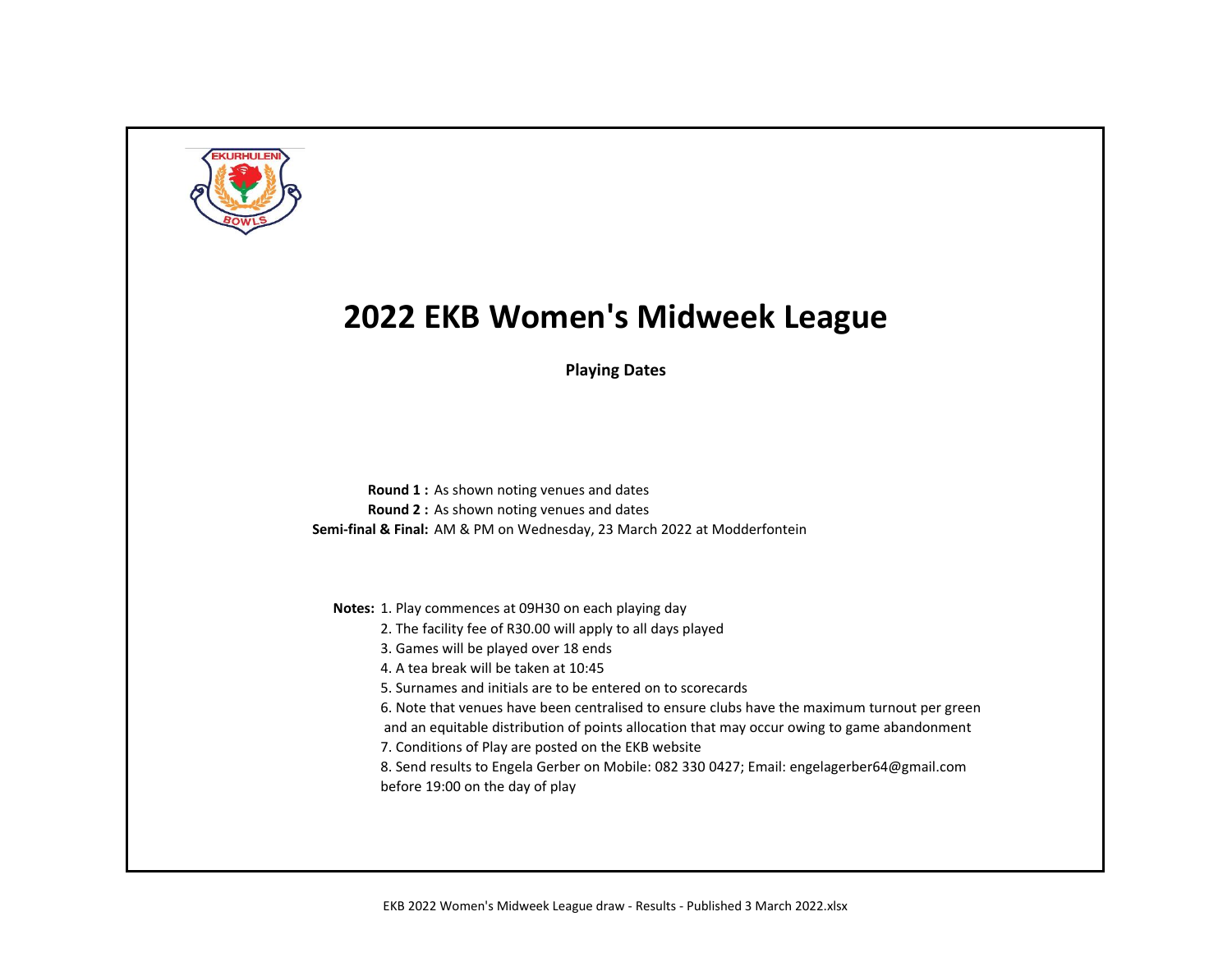

**Playing Dates**

**Round 1 :** As shown noting venues and dates **Round 2 :** As shown noting venues and dates **Semi-final & Final:** AM & PM on Wednesday, 23 March 2022 at Modderfontein

**Notes:** 1. Play commences at 09H30 on each playing day

- 2. The facility fee of R30.00 will apply to all days played
- 3. Games will be played over 18 ends
- 4. A tea break will be taken at 10:45
- 5. Surnames and initials are to be entered on to scorecards
- 6. Note that venues have been centralised to ensure clubs have the maximum turnout per green
- and an equitable distribution of points allocation that may occur owing to game abandonment
- 7. Conditions of Play are posted on the EKB website
- 8. Send results to Engela Gerber on Mobile: 082 330 0427; Email: engelagerber64@gmail.com before 19:00 on the day of play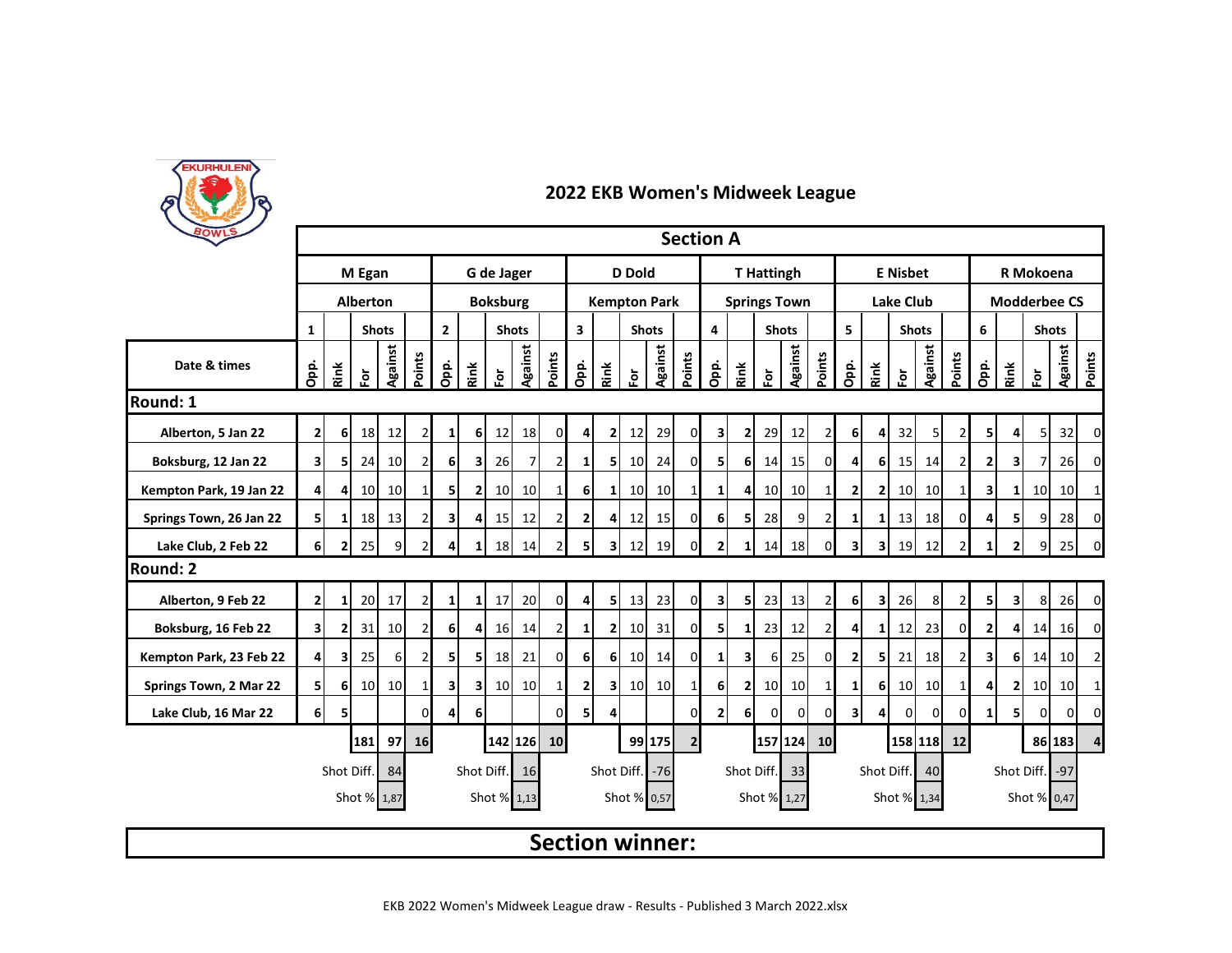

| BOWLS                   | <b>Section A</b><br>G de Jager<br><b>T</b> Hattingh<br>R Mokoena |              |                 |                 |                |                         |                         |                 |                 |                 |                         |                |                        |                 |                |                     |                |                |                 |                |                         |                  |                 |                |                |                |                |                     |                |                |  |  |  |
|-------------------------|------------------------------------------------------------------|--------------|-----------------|-----------------|----------------|-------------------------|-------------------------|-----------------|-----------------|-----------------|-------------------------|----------------|------------------------|-----------------|----------------|---------------------|----------------|----------------|-----------------|----------------|-------------------------|------------------|-----------------|----------------|----------------|----------------|----------------|---------------------|----------------|----------------|--|--|--|
|                         |                                                                  |              | M Egan          |                 |                |                         |                         |                 |                 |                 |                         |                | <b>D</b> Dold          |                 |                |                     |                |                |                 |                |                         |                  | <b>E</b> Nisbet |                |                |                |                |                     |                |                |  |  |  |
|                         |                                                                  |              | <b>Alberton</b> |                 |                |                         |                         | <b>Boksburg</b> |                 |                 |                         |                | <b>Kempton Park</b>    |                 |                | <b>Springs Town</b> |                |                |                 |                |                         | <b>Lake Club</b> |                 |                |                |                |                | <b>Modderbee CS</b> |                |                |  |  |  |
|                         | $\mathbf{1}$                                                     |              |                 | <b>Shots</b>    |                | $\overline{2}$          |                         |                 | <b>Shots</b>    |                 | $\overline{\mathbf{3}}$ |                |                        | <b>Shots</b>    |                | 4                   |                | <b>Shots</b>   |                 |                | 5                       |                  |                 | <b>Shots</b>   |                | 6              |                | <b>Shots</b>        |                |                |  |  |  |
| Date & times            | Opp.                                                             | Rink         | $\overline{5}$  | Against         | Points         | Opp.                    | Rink                    | 효               | <b>Against</b>  | Points          | Opp.                    | Rink           | ğ                      | Against         | Points         | Opp.                | Rink           | Ĕō             | Against         | Points         | Opp.                    | Rink             | έŏ              | Against        | Points         | Opp.           | Rink           | $\tilde{e}$         | <b>Against</b> | Points         |  |  |  |
| Round: 1                |                                                                  |              |                 |                 |                |                         |                         |                 |                 |                 |                         |                |                        |                 |                |                     |                |                |                 |                |                         |                  |                 |                |                |                |                |                     |                |                |  |  |  |
| Alberton, 5 Jan 22      | $\mathbf{2}$                                                     | 61           | 18              | 12              | $\overline{2}$ | $1\vert$                | 6                       | 12              | 18              | $\overline{0}$  | 4 <sup>1</sup>          | 2              | 12                     | 29              | $\overline{0}$ | 3                   | $\mathbf{2}$   | 29             | 12              | $\overline{2}$ | 6 <sup>1</sup>          | 4                | 32              | 5 <sub>l</sub> | $\overline{2}$ | 51             | 41             | 5 <sub>l</sub>      | 32             | 0              |  |  |  |
| Boksburg, 12 Jan 22     | $\overline{\mathbf{3}}$                                          | 5            | 24              | 10 <sup>1</sup> | $\overline{2}$ | 6                       | $\overline{\mathbf{3}}$ | 26              | 7 <sup>1</sup>  | $\overline{2}$  | $1\vert$                | 51             | 10 <sup>1</sup>        | 24              | $\overline{0}$ | 51                  | 6              | 14             | 15              | $\overline{0}$ | 4                       | 6 <sup>1</sup>   | 15              | 14             | $\overline{2}$ | 2              | $\mathbf{3}$   | 7                   | 26             | $\Omega$       |  |  |  |
| Kempton Park, 19 Jan 22 | $\overline{4}$                                                   | 4            | 10 <sup>1</sup> | 10              |                | 5                       | $\mathbf{2}$            | 10 <sup>1</sup> | 10 <sup>1</sup> | 1 <sup>1</sup>  | <b>6</b>                | $1\vert$       | 10 <sup>1</sup>        | 10 <sup>1</sup> | $1\vert$       | 11                  | 4              | 10             | 10 <sup>1</sup> | 1              | $\overline{2}$          | $\overline{2}$   | 10              | 10             |                | 3              | 1I             | 10                  | 10             | 1              |  |  |  |
| Springs Town, 26 Jan 22 | 5 <sub>l</sub>                                                   | 1            | 18              | 13              |                | 3                       | 4                       | 15              | 12              | $\overline{2}$  | $\overline{2}$          | 4              | 12                     | 15              | $\Omega$       | 6 <sup>1</sup>      | 5              | 28             | 9               | $\overline{2}$ | 1                       | 1                | 13              | 18             | $\Omega$       | 4              | 51             | 9                   | 28             | 0              |  |  |  |
| Lake Club, 2 Feb 22     | 61                                                               | 2            | 25              | 9               | $\overline{2}$ | $\overline{4}$          | 1                       | 18              | 14              | $\overline{2}$  | 5 <sup>1</sup>          | 31             | 12                     | 19              | $\Omega$       | $\overline{2}$      | $\mathbf{1}$   | 14             | 18              | $\overline{0}$ | $\mathbf{3}$            | 3 <sup>1</sup>   | 19              | 12             | 21             | 1 <sup>1</sup> | 21             | 9                   | 25             | $\overline{0}$ |  |  |  |
| Round: 2                |                                                                  |              |                 |                 |                |                         |                         |                 |                 |                 |                         |                |                        |                 |                |                     |                |                |                 |                |                         |                  |                 |                |                |                |                |                     |                |                |  |  |  |
| Alberton, 9 Feb 22      | $\overline{2}$                                                   | $\mathbf{1}$ | 20              | 17              | $\overline{2}$ | $\mathbf{1}$            | $\mathbf{1}$            | 17              | 20              | $\overline{0}$  | $\overline{4}$          | 5              | 13                     | 23              | $\overline{0}$ | 3                   | 5              | 23             | 13              | $\overline{2}$ | 6 <sup>1</sup>          | 31               | 26              | 8              | 21             | 51             | 31             | 8                   | 26             | $\overline{0}$ |  |  |  |
| Boksburg, 16 Feb 22     | $\overline{\mathbf{3}}$                                          | $\mathbf{2}$ | 31              | 10              | $\overline{2}$ | 6 <sup>1</sup>          | 4                       | <b>16</b>       | 14              | 2               | 1                       | $\mathbf{2}$   | 10                     | 31              | $\Omega$       | 5 <sub>l</sub>      | $\mathbf{1}$   | 23             | 12              | $\overline{2}$ | 4                       | 1                | 12              | 23             | $\Omega$       | $\mathbf{2}$   |                | 14                  | 16             | 0              |  |  |  |
| Kempton Park, 23 Feb 22 | $\overline{4}$                                                   | 3            | 25              | 6               | $\overline{2}$ | 5 <sub>l</sub>          | 5                       | 18              | 21              | $\overline{0}$  | 6                       | 6              | 10                     | 14              | $\overline{0}$ | $\mathbf{1}$        | 3              | 6              | 25              | $\overline{0}$ | $\overline{2}$          | 5                | 21              | 18             | $\overline{2}$ | 3              | 6 <sup>1</sup> | 14                  | 10             | $\overline{2}$ |  |  |  |
| Springs Town, 2 Mar 22  | 5                                                                | 61           | 10              | 10 <sup>1</sup> |                | $\overline{\mathbf{3}}$ | 31                      | 10 <sup>1</sup> | 10              | 1               | 2 <sub>l</sub>          | 3 <sup>1</sup> | 10                     | 10              | $1\vert$       | 6 <sup>1</sup>      | $\mathbf{2}$   | 10             | 10              | 1              | 1                       | 6                | 10              | 10             |                | 4              | $\mathbf{2}$   | 10                  | 10             | $\mathbf{1}$   |  |  |  |
| Lake Club, 16 Mar 22    | 6                                                                | 5            |                 |                 | 0              | 4                       | 6                       |                 |                 | $\Omega$        | 5                       | 4              |                        |                 | $\Omega$       | $\mathbf{2}$        | 6 <sup>1</sup> | $\overline{0}$ | 0               | $\mathbf 0$    | $\overline{\mathbf{3}}$ | 4                | 0               | $\mathbf 0$    | $\Omega$       | 1 <sup>1</sup> | 51             | $\Omega$            | $\overline{0}$ | 0              |  |  |  |
|                         |                                                                  |              | <b>181</b>      |                 | 97 16          |                         |                         |                 | 142 126         | 10 <sup>1</sup> |                         |                |                        | 99 175          | 2 <sup>1</sup> |                     |                |                | 157 124 10      |                |                         |                  |                 | 158 118        | 12             |                |                |                     | 86 183         | 4              |  |  |  |
|                         |                                                                  | Shot Diff.   |                 | 84              |                |                         | Shot Diff.              |                 | 16              |                 |                         |                | Shot Diff. -76         |                 |                |                     | Shot Diff.     |                | 33              |                |                         |                  | Shot Diff.      | 40             |                |                |                | Shot Diff. -97      |                |                |  |  |  |
|                         |                                                                  |              | Shot % 1,87     |                 |                |                         |                         | Shot % 1,13     |                 |                 |                         |                | Shot % 0,57            |                 |                |                     |                | Shot % 1,27    |                 |                |                         |                  | Shot % 1,34     |                |                |                |                | Shot % 0,47         |                |                |  |  |  |
|                         |                                                                  |              |                 |                 |                |                         |                         |                 |                 |                 |                         |                | <b>Section winner:</b> |                 |                |                     |                |                |                 |                |                         |                  |                 |                |                |                |                |                     |                |                |  |  |  |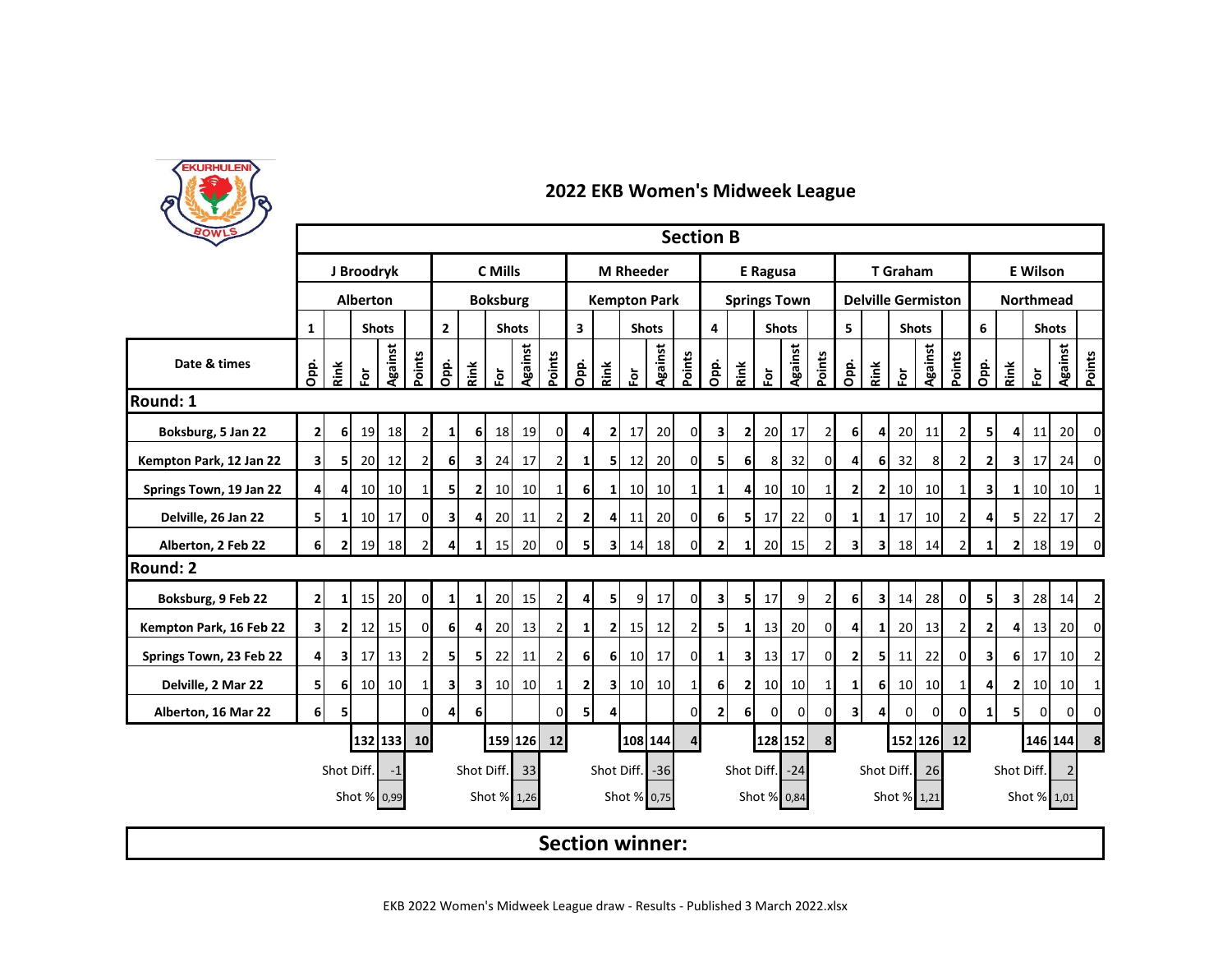

| BOWLS                   | <b>Section B</b><br>C Mills<br><b>E</b> Wilson<br>J Broodryk<br><b>M</b> Rheeder<br><b>E</b> Ragusa<br><b>T</b> Graham |                         |                 |                 |                |                                |                         |                 |                 |                                         |                     |                |                        |                 |                                         |                |                |                 |                     |                |                |                |                           |                 |                |                         |                         |               |                |                |
|-------------------------|------------------------------------------------------------------------------------------------------------------------|-------------------------|-----------------|-----------------|----------------|--------------------------------|-------------------------|-----------------|-----------------|-----------------------------------------|---------------------|----------------|------------------------|-----------------|-----------------------------------------|----------------|----------------|-----------------|---------------------|----------------|----------------|----------------|---------------------------|-----------------|----------------|-------------------------|-------------------------|---------------|----------------|----------------|
|                         |                                                                                                                        |                         |                 |                 |                |                                |                         |                 |                 |                                         |                     |                |                        |                 |                                         |                |                |                 |                     |                |                |                |                           |                 |                |                         |                         |               |                |                |
|                         |                                                                                                                        |                         | <b>Alberton</b> |                 |                |                                |                         | <b>Boksburg</b> |                 |                                         | <b>Kempton Park</b> |                |                        |                 |                                         |                |                |                 | <b>Springs Town</b> |                |                |                | <b>Delville Germiston</b> |                 |                | <b>Northmead</b>        |                         |               |                |                |
|                         | $\mathbf{1}$                                                                                                           |                         |                 | <b>Shots</b>    |                | $\overline{2}$<br><b>Shots</b> |                         |                 |                 | $\overline{\mathbf{3}}$<br><b>Shots</b> |                     |                |                        |                 | $\overline{\mathbf{4}}$<br><b>Shots</b> |                |                |                 | 5<br><b>Shots</b>   |                |                |                | 6                         | <b>Shots</b>    |                |                         |                         |               |                |                |
| Date & times            | Opp.                                                                                                                   | Rink                    | $\bf \bar{e}$   | Against         | Points         | Opp.                           | Rink                    | $\bf \bar{e}$   | Against         | Points                                  | <u>ခဲ့</u>          | Rink           | 혼                      | Against         | Points                                  | Opp.           | Rink           | èĭ              | Against             | Points         | Opp.           | Rink           | è                         | Against         | Points         | Opp.                    | Rink                    | $\bf \bar{e}$ | <b>Against</b> | Points         |
| Round: 1                |                                                                                                                        |                         |                 |                 |                |                                |                         |                 |                 |                                         |                     |                |                        |                 |                                         |                |                |                 |                     |                |                |                |                           |                 |                |                         |                         |               |                |                |
| Boksburg, 5 Jan 22      | $\mathbf{2}$                                                                                                           | 6                       | 19              | 18              | $\overline{2}$ | $1\vert$                       | 6 <sup>1</sup>          | 18              | 19              | $\overline{0}$                          | 4                   | $\mathbf{2}$   | 17                     | 20              | $\mathbf{0}$                            | 3              | $\mathbf{2}$   | 20              | 17                  | 2              | 6 <sup>1</sup> | 4              | 20                        | 11              | 21             | 51                      | 41                      | 11            | 20             | 0              |
| Kempton Park, 12 Jan 22 | $\overline{\mathbf{3}}$                                                                                                | 5                       | 20              | 12              | $\overline{2}$ | 6                              | $\overline{\mathbf{3}}$ | 24              | 17              | $\overline{2}$                          | 11                  | 51             | 12                     | 20              | $\circ$                                 | 51             | 6              | 8               | 32                  | $\Omega$       | 4              | 6              | 32                        | 8               | $\overline{2}$ | $\mathbf{2}$            | 31                      | 17            | 24             | $\Omega$       |
| Springs Town, 19 Jan 22 | 4                                                                                                                      | 4                       | 10 <sup>1</sup> | 10 <sup>1</sup> | 1              | 51                             | $\overline{2}$          | 10              | 10 <sup>1</sup> | $1\vert$                                | 6                   | $1\vert$       | 10 <sub>l</sub>        | 10 <sup>1</sup> | 1 <sup>1</sup>                          | $\mathbf{1}$   | 4              | 10 <sup>1</sup> | 10 <sup>1</sup>     | $\mathbf{1}$   | $\overline{2}$ | $\overline{2}$ | 10 <sup>1</sup>           | 10 <sup>1</sup> | -1             | 3                       | $\mathbf{1}$            | 10            | 10             | $\mathbf{1}$   |
| Delville, 26 Jan 22     | 5 <sub>l</sub>                                                                                                         |                         | 10 <sup>1</sup> | 17              | $\Omega$       | 31                             | 4                       | 20              | 11              | $\overline{2}$                          | 2 <sub>l</sub>      | $\overline{4}$ | 11                     | 20              | $\mathbf{0}$                            | 6 <sup>1</sup> | 5              | 17              | 22                  | $\Omega$       | 1              | 1              | 17                        | 10 <sup>1</sup> | $\overline{2}$ | 4                       | 5                       | 22            | 17             | $\overline{2}$ |
| Alberton, 2 Feb 22      | 6 <sup>1</sup>                                                                                                         | $\overline{2}$          | 19              | <b>18</b>       | 21             | 4                              | $\mathbf{1}$            | 15              | 20              | $\overline{0}$                          | 5 <sup>1</sup>      | 3I             | 14                     | 18              | $\overline{0}$                          | $\overline{2}$ | $\mathbf{1}$   | 20              | 15                  | $\overline{2}$ | $\mathbf{3}$   | $\mathbf{3}$   | 18                        | 14              | $\overline{2}$ | 1 <sup>1</sup>          | $\mathbf{2}$            | 18            | 19             | 0              |
| Round: 2                |                                                                                                                        |                         |                 |                 |                |                                |                         |                 |                 |                                         |                     |                |                        |                 |                                         |                |                |                 |                     |                |                |                |                           |                 |                |                         |                         |               |                |                |
| Boksburg, 9 Feb 22      | $\overline{2}$                                                                                                         | 1                       | 15              | <b>20</b>       | $\Omega$       | 1                              | $\mathbf{1}$            | 20              | 15              | $\overline{2}$                          | $\overline{4}$      | 5 <sup>1</sup> | 9                      | 17              | $\circ$                                 | $\mathbf{3}$   | 5              | 17              | 9                   | 2              | 6 <sup>1</sup> | $\mathbf{3}$   | 14                        | 28              | $\Omega$       | 51                      | $\overline{\mathbf{3}}$ | 28            | 14             | $\overline{2}$ |
| Kempton Park, 16 Feb 22 | $\overline{\mathbf{3}}$                                                                                                | 2                       | 12              | 15              | $\Omega$       | 6                              | $\overline{4}$          | 20              | 13              | $\overline{2}$                          | $\mathbf{1}$        | $\mathbf{2}$   | 15                     | 12              | $\overline{2}$                          | 51             | $\mathbf{1}$   | 13              | 20                  | $\mathbf 0$    | $\overline{4}$ | 1              | 20                        | 13              | $\overline{2}$ | 2                       |                         | 13            | 20             | 0              |
| Springs Town, 23 Feb 22 | 4 <sup>1</sup>                                                                                                         | $\overline{\mathbf{3}}$ | 17              | 13              | $\overline{2}$ | 51                             | 5                       | 22              | 11              | $\overline{2}$                          | 6 <sup>1</sup>      | 6 <sup>1</sup> | 10 <sup>1</sup>        | 17              | $\circ$                                 | 1 <sup>1</sup> | $\mathbf{3}$   | 13              | 17                  | $\overline{0}$ | 2 <sub>l</sub> | 5 <sub>l</sub> | 11                        | 22              | $\Omega$       | $\overline{\mathbf{3}}$ | 6I                      | 17            | 10             | $\overline{2}$ |
| Delville, 2 Mar 22      | 51                                                                                                                     | 6                       | 10 <sup>1</sup> | 10 <sup>1</sup> | 1 <sup>1</sup> | 3                              | зI                      | 10              | 10 <sup>1</sup> | $1\vert$                                | 2 <sub>1</sub>      | 3I             | 10 <sup>1</sup>        | 10 <sup>1</sup> | $1\overline{ }$                         | 6              | $\overline{2}$ | 10              | 10                  | 1              | $\mathbf{1}$   | 6              | 10                        | 10              |                | 4                       | 21                      | 10            | 10             | $\mathbf{1}$   |
| Alberton, 16 Mar 22     | 6                                                                                                                      | 5                       |                 |                 | U              | 4                              | 6                       |                 |                 | $\Omega$                                | 51                  | 4              |                        |                 | $\overline{0}$                          | $\mathbf{2}$   | 6 <sup>1</sup> | $\overline{0}$  | $\overline{0}$      | 0              | 3 <sup>1</sup> | 4              | 0                         | $\mathbf 0$     | $\Omega$       | 1 <sup>1</sup>          | 51                      | $\Omega$      | 0              | 0              |
|                         |                                                                                                                        |                         |                 |                 | 132 133 10     |                                |                         |                 | 159 126 12      |                                         |                     |                | 108 144                |                 | 4 <sup>1</sup>                          |                |                |                 | 128 152             | 8              |                |                | 152 126                   |                 | <b>12</b>      |                         |                         |               | 146 144        | 8              |
|                         |                                                                                                                        | Shot Diff.              |                 | $-1$            |                |                                | Shot Diff.              |                 | 33              |                                         |                     |                | Shot Diff.             | $-36$           |                                         |                | Shot Diff.     |                 | $-24$               |                |                | Shot Diff.     |                           | 26              |                | Shot Diff.              |                         |               |                |                |
|                         |                                                                                                                        |                         |                 | Shot % 0,99     |                |                                |                         | Shot % 1,26     |                 |                                         |                     |                | Shot % 0,75            |                 |                                         |                |                |                 | Shot % 0,84         |                |                |                | Shot %                    | 1,21            |                |                         |                         | Shot % 1,01   |                |                |
|                         |                                                                                                                        |                         |                 |                 |                |                                |                         |                 |                 |                                         |                     |                | <b>Section winner:</b> |                 |                                         |                |                |                 |                     |                |                |                |                           |                 |                |                         |                         |               |                |                |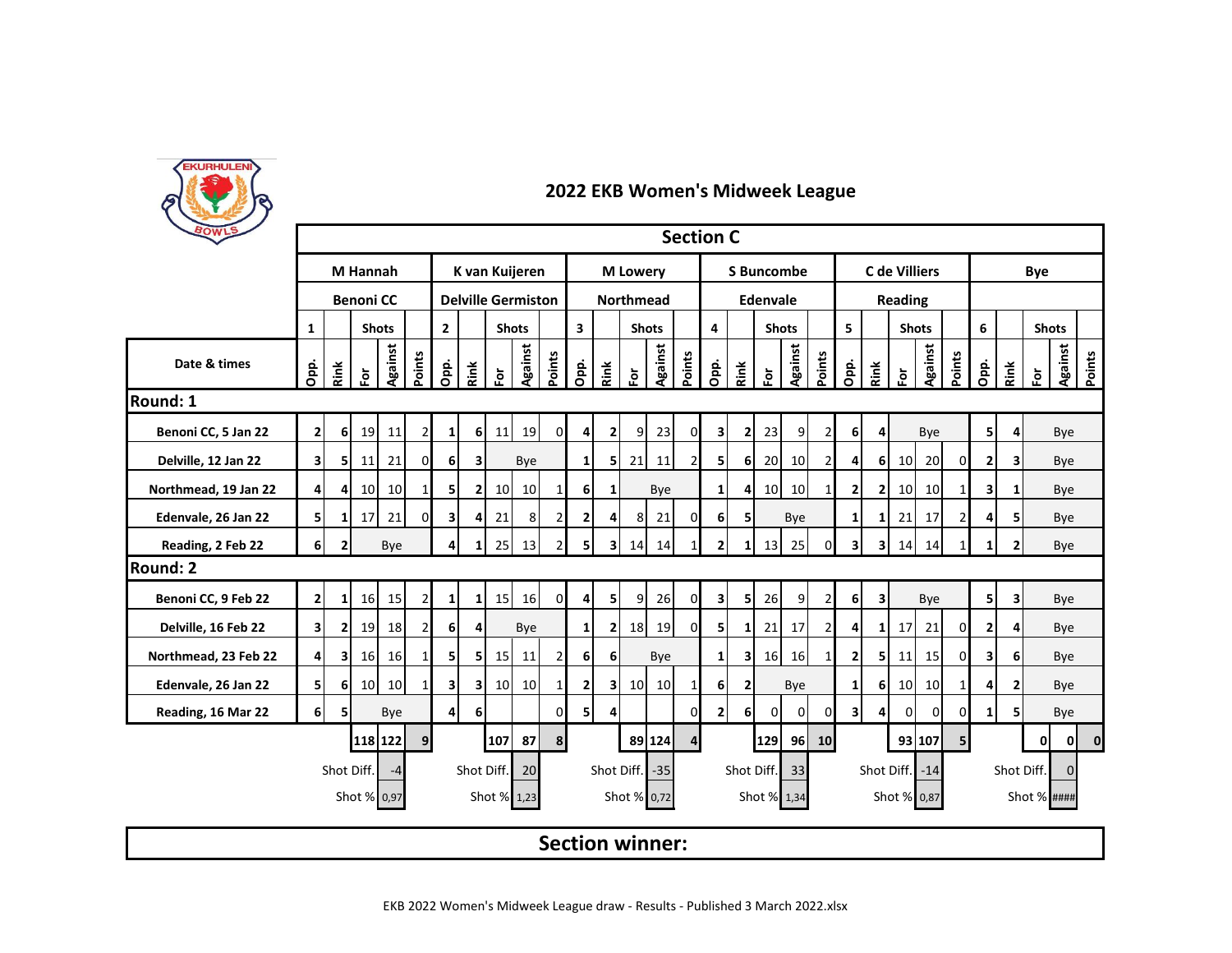

| BOWLS                | <b>Section C</b>                                                                                                                                             |                         |                  |                 |                |                             |                |                 |                           |                                         |                |                |                        |         |                |                |                         |                 |                 |                |                         |                         |                 |                 |                          |                        |              |                      |                          |  |
|----------------------|--------------------------------------------------------------------------------------------------------------------------------------------------------------|-------------------------|------------------|-----------------|----------------|-----------------------------|----------------|-----------------|---------------------------|-----------------------------------------|----------------|----------------|------------------------|---------|----------------|----------------|-------------------------|-----------------|-----------------|----------------|-------------------------|-------------------------|-----------------|-----------------|--------------------------|------------------------|--------------|----------------------|--------------------------|--|
|                      |                                                                                                                                                              |                         | <b>M</b> Hannah  |                 |                |                             |                |                 | K van Kuijeren            |                                         |                |                | <b>M</b> Lowery        |         |                |                | <b>S</b> Buncombe       |                 |                 |                |                         |                         | C de Villiers   |                 |                          | <b>Bye</b>             |              |                      |                          |  |
|                      |                                                                                                                                                              |                         | <b>Benoni CC</b> |                 |                |                             |                |                 | <b>Delville Germiston</b> |                                         |                |                | <b>Northmead</b>       |         |                |                |                         | <b>Edenvale</b> |                 |                |                         |                         | Reading         |                 |                          |                        |              |                      |                          |  |
|                      | $\mathbf{1}$                                                                                                                                                 |                         |                  | <b>Shots</b>    |                | $2^{\circ}$<br><b>Shots</b> |                |                 |                           | $\overline{\mathbf{3}}$<br><b>Shots</b> |                |                | 4                      |         | <b>Shots</b>   |                |                         | 5               |                 | <b>Shots</b>   |                         |                         | 6               | <b>Shots</b>    |                          |                        |              |                      |                          |  |
| Date & times         | Opp.                                                                                                                                                         | Rink                    | $\bf \bar{e}$    | Against         | Points         | Opp.                        | Rink           | $\bf \bar{e}$   | <b>Against</b>            | Points                                  | Opp.           | Rink           | ō.                     | Against | Points         | Opp.           | Rink                    | $\bf \bar{e}$   | Against         | Points         | Opp.                    | Rink                    | è               | Against         | Points                   | Opp.                   | Rink         | $\tilde{\mathbf{e}}$ | <b>Against</b><br>Points |  |
| Round: 1             |                                                                                                                                                              |                         |                  |                 |                |                             |                |                 |                           |                                         |                |                |                        |         |                |                |                         |                 |                 |                |                         |                         |                 |                 |                          |                        |              |                      |                          |  |
| Benoni CC, 5 Jan 22  | $\overline{2}$                                                                                                                                               | 6                       | 19               | 11              | $\overline{2}$ | 1 <sup>1</sup>              | 6 <sup>1</sup> | 11              | 19                        | <sub>0</sub>                            | $\overline{4}$ | 2 <sub>1</sub> | 9                      | 23      | $\mathbf{0}$   | 3              | $\mathbf{2}$            | 23              | 9               | 2              | 6                       | 4                       |                 | Bye             |                          | 51                     | 4            |                      | Bye                      |  |
| Delville, 12 Jan 22  | 31                                                                                                                                                           | 5                       | 11               | 21              | 0              | 6                           | 3l             |                 | Bye                       |                                         | $1\vert$       | 51             | 21                     | 11      | 2 <sub>l</sub> | 5              | 6 <sup>1</sup>          | 20              | 10              | $\overline{2}$ | 4                       | 6                       | 10              | 20              | $\mathbf{0}$             | 2                      | 3            |                      | Bye                      |  |
| Northmead, 19 Jan 22 | $\overline{4}$                                                                                                                                               | 4                       | 10 <sup>1</sup>  | 10              | $1\vert$       | 5                           | $\mathbf{2}$   | <b>10</b>       | 10 <sup>1</sup>           | $1\vert$                                | 6              | 1              |                        | Bye     |                | $\mathbf{1}$   | 4                       | 10 <sup>1</sup> | 10 <sup>1</sup> | $\mathbf{1}$   | $\mathbf{2}$            | $\mathbf{2}$            | 10 <sup>1</sup> | 10 <sup>1</sup> |                          | 3                      | 1            |                      | Bye                      |  |
| Edenvale, 26 Jan 22  | 5                                                                                                                                                            | 1                       | 17               | 21              | $\Omega$       | 3                           | 4              | 21              | 8                         | $\overline{2}$                          | 2 <sub>1</sub> | 4              | 8                      | 21      | $\mathbf{0}$   | 6              | 5                       |                 | Bye             |                | 1                       | 1                       | 21              | 17              | $\overline{\mathcal{L}}$ | Δ                      | 51           |                      | Bye                      |  |
| Reading, 2 Feb 22    | <b>6</b>                                                                                                                                                     | $\overline{2}$          |                  | Bye             |                | 4                           | $\mathbf{1}$   | 25              | 13                        | $\overline{2}$                          | 5 <sub>l</sub> | 31             | 14                     | 14      | 1 <sup>1</sup> | $\mathbf{2}$   | $\mathbf{1}$            | 13              | 25              | 0              | $\overline{\mathbf{3}}$ | $\mathbf{3}$            | 14              | 14              |                          | 1                      | $\mathbf{2}$ |                      | Bye                      |  |
| Round: 2             |                                                                                                                                                              |                         |                  |                 |                |                             |                |                 |                           |                                         |                |                |                        |         |                |                |                         |                 |                 |                |                         |                         |                 |                 |                          |                        |              |                      |                          |  |
| Benoni CC, 9 Feb 22  | $\overline{2}$                                                                                                                                               | 1                       | 16               | 15 <sub>l</sub> | $\overline{2}$ | $1\vert$                    | $\mathbf{1}$   | 15              | 16                        | $\overline{0}$                          | 4 <sup>1</sup> | 5              | 9                      | 26      | $\overline{0}$ | 3              | 5                       | 26              | 9               | $\overline{2}$ | 6                       | $\overline{\mathbf{3}}$ |                 | Bye             |                          | 51                     | з١           |                      | Bye                      |  |
| Delville, 16 Feb 22  | $\overline{\mathbf{3}}$                                                                                                                                      | 2                       | 19               | 18              | $\overline{2}$ | 6                           | $\overline{4}$ |                 | Bye                       |                                         | 1 <sup>1</sup> | $\mathbf{2}$   | 18                     | 19      | $\mathbf{0}$   | 51             | $\mathbf{1}$            | 21              | 17              | 2              | 4                       | $\mathbf{1}$            | 17              | 21              | $\Omega$                 | 2                      |              |                      | Bye                      |  |
| Northmead, 23 Feb 22 | $\overline{4}$                                                                                                                                               | $\overline{\mathbf{3}}$ | 16               | <b>16</b>       | 1              | 5                           | 5              | 15              | 11                        | 2                                       | 6 <sup>1</sup> | 6              |                        | Bye     |                | 1 <sup>1</sup> | $\overline{\mathbf{3}}$ | 16              | 16              | $\mathbf{1}$   | $\mathbf{2}$            | 5                       | 11              | 15              | $\Omega$                 | 3                      | 61           |                      | Bye                      |  |
| Edenvale, 26 Jan 22  | 51                                                                                                                                                           | 6                       | 10 <sup>1</sup>  | 10 <sup>1</sup> | 11             | 31                          | зI             | 10 <sup>1</sup> | 10                        | $1\vert$                                | 2 <sub>1</sub> | зI             | 10 <sup>1</sup>        | 10      | 1              | 6 <sup>1</sup> | $\overline{2}$          |                 | Bye             |                | $1\vert$                | 6                       | 10 <sup>1</sup> | 10 <sup>1</sup> | 1                        | 4                      | $\mathbf{2}$ |                      | Bye                      |  |
| Reading, 16 Mar 22   | 6 <sup>1</sup>                                                                                                                                               | 5                       |                  | Bye             |                | $\overline{4}$              | 6              |                 |                           | $\Omega$                                | 51             | 4              |                        |         | $\overline{0}$ | 2 <sub>l</sub> | 6 <sup>1</sup>          | $\overline{0}$  | $\overline{0}$  | 0              | $\overline{\mathbf{3}}$ | 4                       | $\mathbf 0$     | $\mathbf 0$     | 0                        | 1                      |              |                      | Bye                      |  |
|                      |                                                                                                                                                              |                         |                  | 118 122         | 9              |                             |                | 107             | 87                        | 8                                       |                |                |                        | 89 124  | 4 <sup>1</sup> |                |                         | 129             | 96              | 10             |                         |                         |                 | 93 107          |                          |                        |              | 01                   | 0 <br>$\mathbf{0}$       |  |
|                      |                                                                                                                                                              |                         |                  | $-4$            |                |                             |                |                 | 20                        |                                         |                |                |                        | $-35$   |                |                |                         |                 | 33              |                |                         |                         |                 | $-14$           |                          | Shot Diff.<br>$\Omega$ |              |                      |                          |  |
|                      | Shot Diff.<br>Shot Diff.<br>Shot Diff.<br>Shot Diff.<br>Shot Diff.<br>Shot % ####<br>Shot % 0,97<br>Shot % 1,23<br>Shot % 0,72<br>Shot % 1,34<br>Shot % 0,87 |                         |                  |                 |                |                             |                |                 |                           |                                         |                |                |                        |         |                |                |                         |                 |                 |                |                         |                         |                 |                 |                          |                        |              |                      |                          |  |
|                      |                                                                                                                                                              |                         |                  |                 |                |                             |                |                 |                           |                                         |                |                | <b>Section winner:</b> |         |                |                |                         |                 |                 |                |                         |                         |                 |                 |                          |                        |              |                      |                          |  |